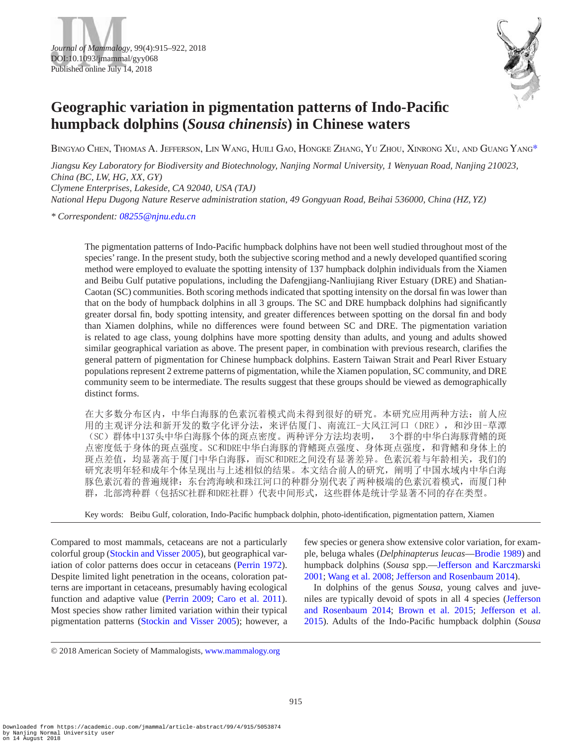



# **Geographic variation in pigmentation patterns of Indo-Pacific humpback dolphins (***Sousa chinensis***) in Chinese waters**

Bingyao Chen, Thomas A. Jefferson, Lin Wang, Huili Gao, Hongke Zhang, Yu Zhou, Xinrong Xu, and Guang Yan[g\\*](#page-0-0)

*Jiangsu Key Laboratory for Biodiversity and Biotechnology, Nanjing Normal University, 1 Wenyuan Road, Nanjing 210023, China (BC, LW, HG, XX, GY) Clymene Enterprises, Lakeside, CA 92040, USA (TAJ)*

*National Hepu Dugong Nature Reserve administration station, 49 Gongyuan Road, Beihai 536000, China (HZ, YZ)*

<span id="page-0-0"></span>*\* Correspondent: [08255@njnu.edu.cn](mailto:08255@njnu.edu.cn?subject=)*

The pigmentation patterns of Indo-Pacific humpback dolphins have not been well studied throughout most of the species' range. In the present study, both the subjective scoring method and a newly developed quantified scoring method were employed to evaluate the spotting intensity of 137 humpback dolphin individuals from the Xiamen and Beibu Gulf putative populations, including the Dafengjiang-Nanliujiang River Estuary (DRE) and Shatian-Caotan (SC) communities. Both scoring methods indicated that spotting intensity on the dorsal fin was lower than that on the body of humpback dolphins in all 3 groups. The SC and DRE humpback dolphins had significantly greater dorsal fin, body spotting intensity, and greater differences between spotting on the dorsal fin and body than Xiamen dolphins, while no differences were found between SC and DRE. The pigmentation variation is related to age class, young dolphins have more spotting density than adults, and young and adults showed similar geographical variation as above. The present paper, in combination with previous research, clarifies the general pattern of pigmentation for Chinese humpback dolphins. Eastern Taiwan Strait and Pearl River Estuary populations represent 2 extreme patterns of pigmentation, while the Xiamen population, SC community, and DRE community seem to be intermediate. The results suggest that these groups should be viewed as demographically distinct forms.

在大多数分布区内,中华白海豚的色素沉着模式尚未得到很好的研究。本研究应用两种方法:前人应 用的主观评分法和新开发的数字化评分法,来评估厦门、南流江-大风江河口(DRE),和沙田-草潭 (SC)群体中137头中华白海豚个体的斑点密度。两种评分方法均表明, 3个群的中华白海豚背鳍的斑 点密度低于身体的斑点强度。SC和DRE中华白海豚的背鳍斑点强度、身体斑点强度,和背鳍和身体上的 斑点差值,均显著高于厦门中华白海豚,而SC和DRE之间没有显著差异。色素沉着与年龄相关,我们的 研究表明年轻和成年个体呈现出与上述相似的结果。本文结合前人的研究,阐明了中国水域内中华白海 豚色素沉着的普遍规律:东台湾海峡和珠江河口的种群分别代表了两种极端的色素沉着模式,而厦门种 群,北部湾种群(包括SC社群和DRE社群)代表中间形式,这些群体是统计学显著不同的存在类型。

Key words: Beibu Gulf, coloration, Indo-Pacific humpback dolphin, photo-identification, pigmentation pattern, Xiamen

Compared to most mammals, cetaceans are not a particularly colorful group ([Stockin and Visser 2005\)](#page-7-0), but geographical variation of color patterns does occur in cetaceans ([Perrin 1972](#page-7-1)). Despite limited light penetration in the oceans, coloration patterns are important in cetaceans, presumably having ecological function and adaptive value ([Perrin 2009](#page-7-2); Caro et [al. 2011](#page-7-3)). Most species show rather limited variation within their typical pigmentation patterns ([Stockin and Visser 2005\)](#page-7-0); however, a few species or genera show extensive color variation, for example, beluga whales (*Delphinapterus leucas*—[Brodie 1989\)](#page-7-4) and humpback dolphins (*Sousa* spp.[—Jefferson and Karczmarski](#page-7-5) [2001](#page-7-5); [Wang et](#page-7-6) al. 2008; [Jefferson and Rosenbaum 2014](#page-7-7)).

In dolphins of the genus *Sousa*, young calves and juveniles are typically devoid of spots in all 4 species ([Jefferson](#page-7-7)  [and Rosenbaum 2014](#page-7-7); [Brown et](#page-7-8) al. 2015; [Jefferson et](#page-7-9) al. [2015](#page-7-9)). Adults of the Indo-Pacific humpback dolphin (*Sousa* 

<sup>© 2018</sup> American Society of Mammalogists, [www.mammalogy.org](http://www.mammalogy.org)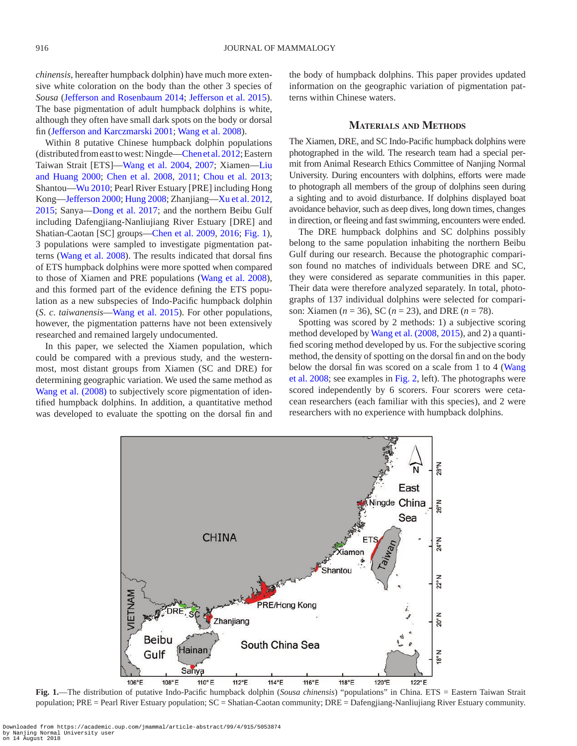*chinensis*, hereafter humpback dolphin) have much more extensive white coloration on the body than the other 3 species of *Sousa* [\(Jefferson and Rosenbaum 2014](#page-7-7); [Jefferson et](#page-7-9) al. 2015). The base pigmentation of adult humpback dolphins is white, although they often have small dark spots on the body or dorsal fin [\(Jefferson and Karczmarski 2001;](#page-7-5) [Wang et](#page-7-6) al. 2008).

Within 8 putative Chinese humpback dolphin populations (distributed from east to west: Ningde—Chen et [al. 2012](#page-7-10); Eastern Taiwan Strait [ETS][—Wang et](#page-7-11) al. 2004, [2007](#page-7-12); Xiamen[—Liu](#page-7-13) [and Huang 2000;](#page-7-13) Chen et [al. 2008](#page-7-14), [2011](#page-7-15); Chou et [al. 2013](#page-7-16); Shantou—[Wu 2010;](#page-7-17) Pearl River Estuary [PRE] including Hong Kong—[Jefferson 2000](#page-7-18); [Hung 2008;](#page-7-19) Zhanjiang—Xu et [al. 2012](#page-7-20), [2015;](#page-7-21) Sanya[—Dong et](#page-7-22) al. 2017; and the northern Beibu Gulf including Dafengjiang-Nanliujiang River Estuary [DRE] and Shatian-Caotan [SC] groups—Chen et [al. 2009](#page-7-23), [2016;](#page-7-24) [Fig.](#page-1-0) 1), 3 populations were sampled to investigate pigmentation patterns ([Wang et](#page-7-6) al. 2008). The results indicated that dorsal fins of ETS humpback dolphins were more spotted when compared to those of Xiamen and PRE populations [\(Wang et](#page-7-6) al. 2008), and this formed part of the evidence defining the ETS population as a new subspecies of Indo-Pacific humpback dolphin (*S*. *c*. *taiwanensis*—Wang et [al. 2015\)](#page-7-25). For other populations, however, the pigmentation patterns have not been extensively researched and remained largely undocumented.

In this paper, we selected the Xiamen population, which could be compared with a previous study, and the westernmost, most distant groups from Xiamen (SC and DRE) for determining geographic variation. We used the same method as Wang et [al. \(2008\)](#page-7-6) to subjectively score pigmentation of identified humpback dolphins. In addition, a quantitative method was developed to evaluate the spotting on the dorsal fin and the body of humpback dolphins. This paper provides updated information on the geographic variation of pigmentation patterns within Chinese waters.

### **Materials and Methods**

The Xiamen, DRE, and SC Indo-Pacific humpback dolphins were photographed in the wild. The research team had a special permit from Animal Research Ethics Committee of Nanjing Normal University. During encounters with dolphins, efforts were made to photograph all members of the group of dolphins seen during a sighting and to avoid disturbance. If dolphins displayed boat avoidance behavior, such as deep dives, long down times, changes in direction, or fleeing and fast swimming, encounters were ended.

The DRE humpback dolphins and SC dolphins possibly belong to the same population inhabiting the northern Beibu Gulf during our research. Because the photographic comparison found no matches of individuals between DRE and SC, they were considered as separate communities in this paper. Their data were therefore analyzed separately. In total, photographs of 137 individual dolphins were selected for comparison: Xiamen (*n* = 36), SC (*n* = 23), and DRE (*n* = 78).

Spotting was scored by 2 methods: 1) a subjective scoring method developed by Wang et [al. \(2008,](#page-7-6) [2015](#page-7-25)), and 2) a quantified scoring method developed by us. For the subjective scoring method, the density of spotting on the dorsal fin and on the body below the dorsal fin was scored on a scale from 1 to 4 ([Wang](#page-7-6)  et [al. 2008;](#page-7-6) see examples in [Fig.](#page-2-0) 2, left). The photographs were scored independently by 6 scorers. Four scorers were cetacean researchers (each familiar with this species), and 2 were researchers with no experience with humpback dolphins.



<span id="page-1-0"></span>**Fig. 1.**—The distribution of putative Indo-Pacific humpback dolphin (*Sousa chinensis*) "populations" in China. ETS = Eastern Taiwan Strait population; PRE = Pearl River Estuary population; SC = Shatian-Caotan community; DRE = Dafengjiang-Nanliujiang River Estuary community.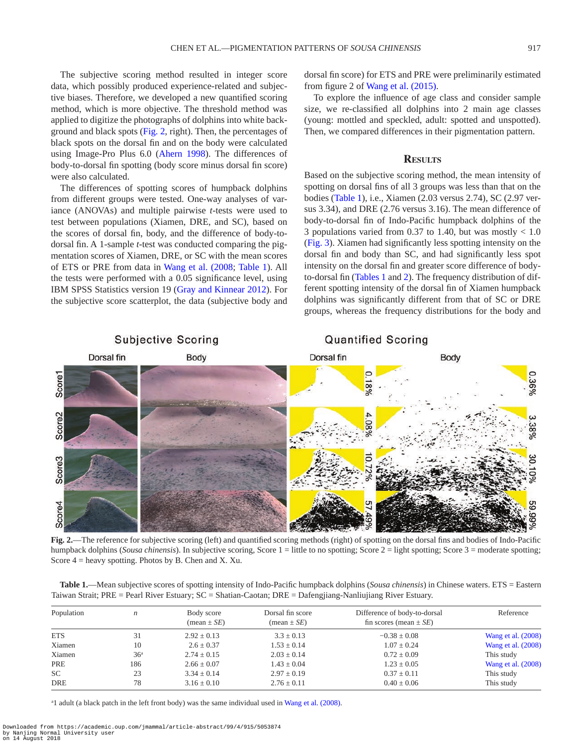The subjective scoring method resulted in integer score data, which possibly produced experience-related and subjective biases. Therefore, we developed a new quantified scoring method, which is more objective. The threshold method was applied to digitize the photographs of dolphins into white background and black spots ([Fig.](#page-2-0) 2, right). Then, the percentages of black spots on the dorsal fin and on the body were calculated using Image-Pro Plus 6.0 ([Ahern 1998](#page-7-26)). The differences of body-to-dorsal fin spotting (body score minus dorsal fin score) were also calculated.

The differences of spotting scores of humpback dolphins from different groups were tested. One-way analyses of variance (ANOVAs) and multiple pairwise *t*-tests were used to test between populations (Xiamen, DRE, and SC), based on the scores of dorsal fin, body, and the difference of body-todorsal fin. A 1-sample *t*-test was conducted comparing the pigmentation scores of Xiamen, DRE, or SC with the mean scores of ETS or PRE from data in Wang et [al. \(2008](#page-7-6); [Table](#page-2-1) 1). All the tests were performed with a 0.05 significance level, using IBM SPSS Statistics version 19 ([Gray and Kinnear 2012\)](#page-7-27). For the subjective score scatterplot, the data (subjective body and

dorsal fin score) for ETS and PRE were preliminarily estimated from figure 2 of Wang et [al. \(2015\).](#page-7-25)

To explore the influence of age class and consider sample size, we re-classified all dolphins into 2 main age classes (young: mottled and speckled, adult: spotted and unspotted). Then, we compared differences in their pigmentation pattern.

#### **Results**

Based on the subjective scoring method, the mean intensity of spotting on dorsal fins of all 3 groups was less than that on the bodies ([Table](#page-2-1) 1), i.e., Xiamen (2.03 versus 2.74), SC (2.97 versus 3.34), and DRE (2.76 versus 3.16). The mean difference of body-to-dorsal fin of Indo-Pacific humpback dolphins of the 3 populations varied from 0.37 to 1.40, but was mostly  $< 1.0$ [\(Fig.](#page-3-0) 3). Xiamen had significantly less spotting intensity on the dorsal fin and body than SC, and had significantly less spot intensity on the dorsal fin and greater score difference of bodyto-dorsal fin ([Tables](#page-2-1) 1 and [2\)](#page-4-0). The frequency distribution of different spotting intensity of the dorsal fin of Xiamen humpback dolphins was significantly different from that of SC or DRE groups, whereas the frequency distributions for the body and



<span id="page-2-0"></span>**Fig. 2.**—The reference for subjective scoring (left) and quantified scoring methods (right) of spotting on the dorsal fins and bodies of Indo-Pacific humpback dolphins (*Sousa chinensis*). In subjective scoring, Score 1 = little to no spotting; Score 2 = light spotting; Score 3 = moderate spotting; Score  $4$  = heavy spotting. Photos by B. Chen and X. Xu.

<span id="page-2-1"></span>

| Table 1.—Mean subjective scores of spotting intensity of Indo-Pacific humpback dolphins (Sousa chinensis) in Chinese waters. ETS = Eastern |
|--------------------------------------------------------------------------------------------------------------------------------------------|
| Taiwan Strait; PRE = Pearl River Estuary; SC = Shatian-Caotan; DRE = Dafengjiang-Nanliujiang River Estuary.                                |

| Population | n               | Body score<br>$(\text{mean} \pm SE)$ | Dorsal fin score<br>$mean \pm SE$ | Difference of body-to-dorsal<br>fin scores (mean $\pm$ <i>SE</i> ) | Reference          |  |
|------------|-----------------|--------------------------------------|-----------------------------------|--------------------------------------------------------------------|--------------------|--|
| <b>ETS</b> | 31              | $2.92 \pm 0.13$                      | $3.3 \pm 0.13$                    | $-0.38 \pm 0.08$                                                   | Wang et al. (2008) |  |
| Xiamen     | 10              | $2.6 + 0.37$                         | $1.53 \pm 0.14$                   | $1.07 + 0.24$                                                      | Wang et al. (2008) |  |
| Xiamen     | 36 <sup>a</sup> | $2.74 + 0.15$                        | $2.03 \pm 0.14$                   | $0.72 \pm 0.09$                                                    | This study         |  |
| PRE        | 186             | $2.66 \pm 0.07$                      | $1.43 \pm 0.04$                   | $1.23 \pm 0.05$                                                    | Wang et al. (2008) |  |
| <b>SC</b>  | 23              | $3.34 \pm 0.14$                      | $2.97 \pm 0.19$                   | $0.37 \pm 0.11$                                                    | This study         |  |
| <b>DRE</b> | 78              | $3.16 \pm 0.10$                      | $2.76 \pm 0.11$                   | $0.40 \pm 0.06$                                                    | This study         |  |

<sup>a</sup>l adult (a black patch in the left front body) was the same individual used in Wang et [al. \(2008\)](#page-7-6).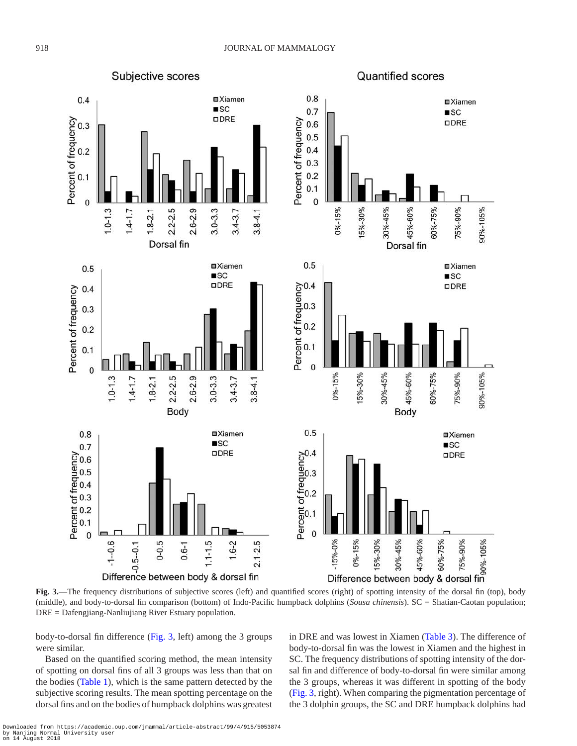Subjective scores **Quantified scores**  $0.8$  $0.4$ **□**Xiamen **□**Xiamen  $\blacksquare$ sc  $0.7$  $\blacksquare$ sc ODRE Percent of frequency  $0.6$ **ODRE**  $0.3$  $0.5$  $0.4$  $0.2$  $0.3$  $0.2$  $0.1$  $0.1$  $\overline{0}$  $\overline{0}$  $1.0 - 1.3$  $1.4 - 1.7$  $3.0 - 3.3$  $3.4 - 3.7$ 15%-30%  $1.8 - 2.1$  $2.2 - 2.5$  $2.6 - 2.9$  $3.8 - 4.1$  $0% - 15%$ 30%-45% 45%-60% 60%-75% 75%-90% 90%-105% Dorsal fin Dorsal fin  $0.5$ **□**Xiamen **□**Xiamen  $0.5$  $\blacksquare$ sc  $\blacksquare$ sc Percent of frequency<br>
Percent of frequency<br>
o<br>  $\therefore$ <br>  $\therefore$ ODRE ODRE  $0.4$  $0.3$  $0.2$  $0.1$  $\mathbf{0}$ 15%-30% 60%-75% 90%-105%  $3.0 - 3.3$ 30%-45% 75%-90%  $1.0 - 1.3$  $0% - 15%$ 45%-60%  $2.2 - 2.5$  $2.6 - 2.9$  $3.8 - 4.1$  $1.4 - 1.7$  $1.8 - 2.1$  $3.4 - 3.7$ Body Body  $0.5$  $0.8$ **□**Xiamen **□**Xiamen  $\blacksquare$ sc  $\blacksquare$ sc  $0.7$ Percent of frequency<br>
o <br>  $\therefore$ <br>
o <br>  $\therefore$ <br>  $\therefore$ <br>  $\therefore$ <br>  $\therefore$ **ODRE** ODRE  $2.1 - 2.5$  $0 - 0.5$  $1.6 - 2$  $-1 - 0.6$  $0.6 - 1$  $1.1 - 1.5$ 

<span id="page-3-0"></span>**Fig. 3.**—The frequency distributions of subjective scores (left) and quantified scores (right) of spotting intensity of the dorsal fin (top), body (middle), and body-to-dorsal fin comparison (bottom) of Indo-Pacific humpback dolphins (*Sousa chinensis*). SC = Shatian-Caotan population; DRE = Dafengjiang-Nanliujiang River Estuary population.

body-to-dorsal fin difference ([Fig.](#page-3-0) 3, left) among the 3 groups were similar.

Based on the quantified scoring method, the mean intensity of spotting on dorsal fins of all 3 groups was less than that on the bodies [\(Table](#page-2-1) 1), which is the same pattern detected by the subjective scoring results. The mean spotting percentage on the dorsal fins and on the bodies of humpback dolphins was greatest in DRE and was lowest in Xiamen [\(Table](#page-4-1) 3). The difference of body-to-dorsal fin was the lowest in Xiamen and the highest in SC. The frequency distributions of spotting intensity of the dorsal fin and difference of body-to-dorsal fin were similar among the 3 groups, whereas it was different in spotting of the body [\(Fig.](#page-3-0) 3, right). When comparing the pigmentation percentage of the 3 dolphin groups, the SC and DRE humpback dolphins had

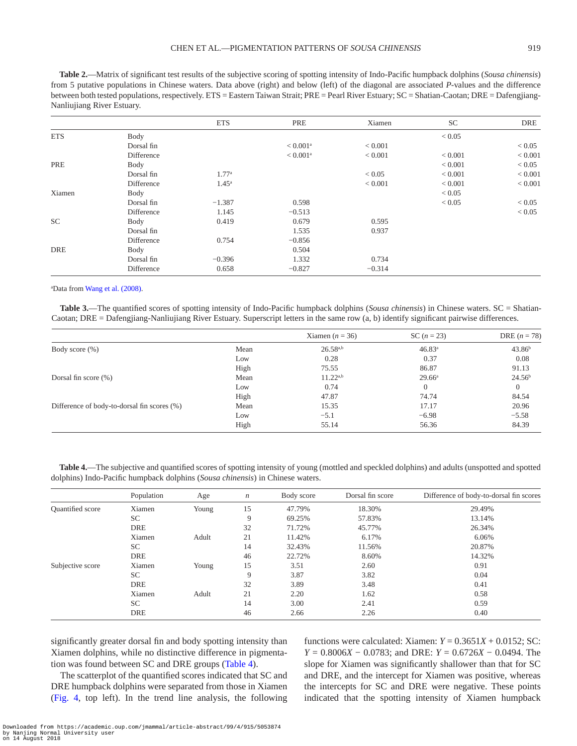<span id="page-4-0"></span>**Table 2.**—Matrix of significant test results of the subjective scoring of spotting intensity of Indo-Pacific humpback dolphins (*Sousa chinensis*) from 5 putative populations in Chinese waters. Data above (right) and below (left) of the diagonal are associated *P*-values and the difference between both tested populations, respectively. ETS = Eastern Taiwan Strait; PRE = Pearl River Estuary; SC = Shatian-Caotan; DRE = Dafengjiang-Nanliujiang River Estuary.

|            |            | <b>ETS</b>        | PRE                    | Xiamen   | <b>SC</b>   | <b>DRE</b> |
|------------|------------|-------------------|------------------------|----------|-------------|------------|
| <b>ETS</b> | Body       |                   |                        |          | < 0.05      |            |
|            | Dorsal fin |                   | $< 0.001^{\rm a}$      | < 0.001  |             | < 0.05     |
|            | Difference |                   | $< 0.001$ <sup>a</sup> | < 0.001  | ${}< 0.001$ | < 0.001    |
| PRE        | Body       |                   |                        |          | ${}< 0.001$ | < 0.05     |
|            | Dorsal fin | 1.77 <sup>a</sup> |                        | < 0.05   | ${}< 0.001$ | < 0.001    |
|            | Difference | $1.45^{\circ}$    |                        | < 0.001  | ${}< 0.001$ | < 0.001    |
| Xiamen     | Body       |                   |                        |          | < 0.05      |            |
|            | Dorsal fin | $-1.387$          | 0.598                  |          | < 0.05      | < 0.05     |
|            | Difference | 1.145             | $-0.513$               |          |             | < 0.05     |
| SC         | Body       | 0.419             | 0.679                  | 0.595    |             |            |
|            | Dorsal fin |                   | 1.535                  | 0.937    |             |            |
|            | Difference | 0.754             | $-0.856$               |          |             |            |
| <b>DRE</b> | Body       |                   | 0.504                  |          |             |            |
|            | Dorsal fin | $-0.396$          | 1.332                  | 0.734    |             |            |
|            | Difference | 0.658             | $-0.827$               | $-0.314$ |             |            |

a Data from Wang et [al. \(2008\).](#page-7-6)

<span id="page-4-1"></span>**Table 3.**—The quantified scores of spotting intensity of Indo-Pacific humpback dolphins (*Sousa chinensis*) in Chinese waters. SC = Shatian-Caotan; DRE = Dafengjiang-Nanliujiang River Estuary. Superscript letters in the same row (a, b) identify significant pairwise differences.

|                                             |      | Xiamen ( $n = 36$ ) | SC $(n = 23)$      | DRE $(n = 78)$     |
|---------------------------------------------|------|---------------------|--------------------|--------------------|
| Body score $(\% )$                          | Mean | $26.58^{a,b}$       | 46.83 <sup>a</sup> | 43.86 <sup>b</sup> |
|                                             | Low  | 0.28                | 0.37               | 0.08               |
|                                             | High | 75.55               | 86.87              | 91.13              |
| Dorsal fin score $(\%)$                     | Mean | $11.22^{a,b}$       | $29.66^{\circ}$    | 24.56 <sup>b</sup> |
|                                             | Low  | 0.74                |                    | $\Omega$           |
|                                             | High | 47.87               | 74.74              | 84.54              |
| Difference of body-to-dorsal fin scores (%) | Mean | 15.35               | 17.17              | 20.96              |
|                                             | Low  | $-5.1$              | $-6.98$            | $-5.58$            |
|                                             | High | 55.14               | 56.36              | 84.39              |

<span id="page-4-2"></span>**Table 4.**—The subjective and quantified scores of spotting intensity of young (mottled and speckled dolphins) and adults (unspotted and spotted dolphins) Indo-Pacific humpback dolphins (*Sousa chinensis*) in Chinese waters.

|                  | Population | Age   | $\boldsymbol{n}$ | Body score | Dorsal fin score | Difference of body-to-dorsal fin scores |
|------------------|------------|-------|------------------|------------|------------------|-----------------------------------------|
| Quantified score | Xiamen     | Young | 15               | 47.79%     | 18.30%           | 29.49%                                  |
|                  | SC.        |       | 9                | 69.25%     | 57.83%           | 13.14%                                  |
|                  | DRE        |       | 32               | 71.72%     | 45.77%           | 26.34%                                  |
|                  | Xiamen     | Adult | 21               | 11.42%     | 6.17%            | 6.06%                                   |
|                  | SC         |       | 14               | 32.43%     | 11.56%           | 20.87%                                  |
|                  | <b>DRE</b> |       | 46               | 22.72%     | 8.60%            | 14.32%                                  |
| Subjective score | Xiamen     | Young | 15               | 3.51       | 2.60             | 0.91                                    |
|                  | SC         |       | 9                | 3.87       | 3.82             | 0.04                                    |
|                  | <b>DRE</b> |       | 32               | 3.89       | 3.48             | 0.41                                    |
|                  | Xiamen     | Adult | 21               | 2.20       | 1.62             | 0.58                                    |
|                  | SC.        |       | 14               | 3.00       | 2.41             | 0.59                                    |
|                  | <b>DRE</b> |       | 46               | 2.66       | 2.26             | 0.40                                    |

significantly greater dorsal fin and body spotting intensity than Xiamen dolphins, while no distinctive difference in pigmentation was found between SC and DRE groups ([Table](#page-4-2) 4).

The scatterplot of the quantified scores indicated that SC and DRE humpback dolphins were separated from those in Xiamen [\(Fig.](#page-5-0) 4, top left). In the trend line analysis, the following

functions were calculated: Xiamen:  $Y = 0.3651X + 0.0152$ ; SC: *Y* = 0.8006*X* − 0.0783; and DRE: *Y* = 0.6726*X* − 0.0494. The slope for Xiamen was significantly shallower than that for SC and DRE, and the intercept for Xiamen was positive, whereas the intercepts for SC and DRE were negative. These points indicated that the spotting intensity of Xiamen humpback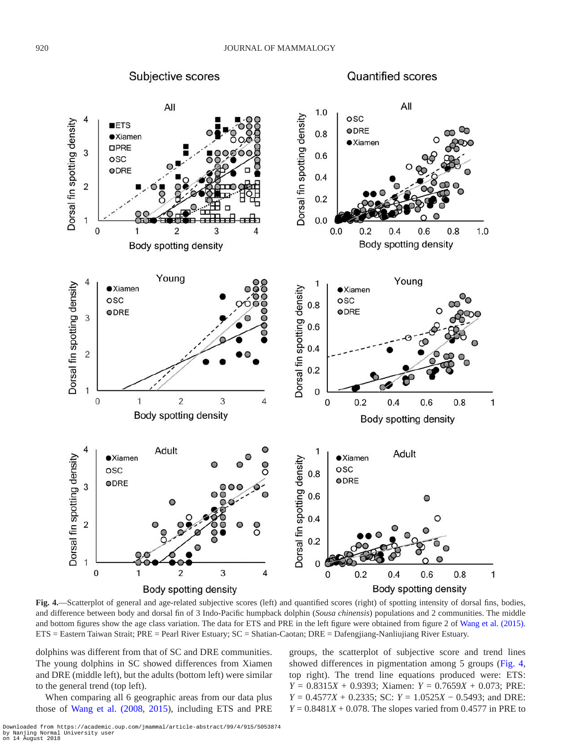Subjective scores





<span id="page-5-0"></span>**Fig. 4.**—Scatterplot of general and age-related subjective scores (left) and quantified scores (right) of spotting intensity of dorsal fins, bodies, and difference between body and dorsal fin of 3 Indo-Pacific humpback dolphin (*Sousa chinensis*) populations and 2 communities. The middle and bottom figures show the age class variation. The data for ETS and PRE in the left figure were obtained from figure 2 of Wang et [al. \(2015\).](#page-7-25) ETS = Eastern Taiwan Strait; PRE = Pearl River Estuary; SC = Shatian-Caotan; DRE = Dafengjiang-Nanliujiang River Estuary.

dolphins was different from that of SC and DRE communities. The young dolphins in SC showed differences from Xiamen and DRE (middle left), but the adults (bottom left) were similar to the general trend (top left).

When comparing all 6 geographic areas from our data plus those of Wang et [al. \(2008](#page-7-6), [2015](#page-7-25)), including ETS and PRE groups, the scatterplot of subjective score and trend lines showed differences in pigmentation among 5 groups ([Fig.](#page-5-0) 4, top right). The trend line equations produced were: ETS: *Y* = 0.8315*X* + 0.9393; Xiamen: *Y* = 0.7659*X* + 0.073; PRE: *Y* = 0.4577*X* + 0.2335; SC: *Y* = 1.0525*X* − 0.5493; and DRE:  $Y = 0.8481X + 0.078$ . The slopes varied from 0.4577 in PRE to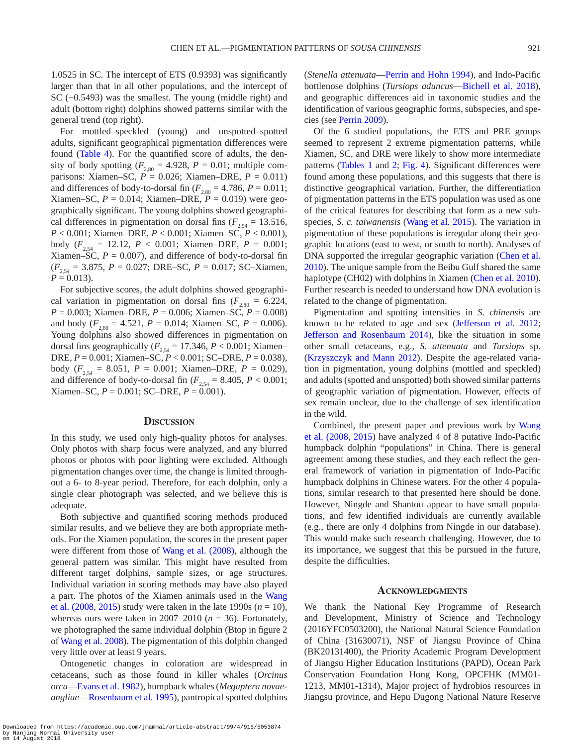1.0525 in SC. The intercept of ETS (0.9393) was significantly larger than that in all other populations, and the intercept of SC (−0.5493) was the smallest. The young (middle right) and adult (bottom right) dolphins showed patterns similar with the general trend (top right).

For mottled–speckled (young) and unspotted–spotted adults, significant geographical pigmentation differences were found ([Table](#page-4-2) 4). For the quantified score of adults, the density of body spotting  $(F_{2,80} = 4.928, P = 0.01;$  multiple comparisons: Xiamen–SC,  $\vec{P} = 0.026$ ; Xiamen–DRE,  $P = 0.011$ ) and differences of body-to-dorsal fin ( $F_{2,80} = 4.786$ ,  $P = 0.011$ ; Xiamen–SC,  $P = 0.014$ ; Xiamen–DRE,  $P = 0.019$ ) were geographically significant. The young dolphins showed geographical differences in pigmentation on dorsal fins  $(F_{2,54} = 13.516,$ *P* < 0.001; Xiamen–DRE, *P* < 0.001; Xiamen–SC, *P* < 0.001), body  $(F_{2,54} = 12.12, P < 0.001;$  Xiamen–DRE,  $P = 0.001;$ Xiamen–SC,  $P = 0.007$ ), and difference of body-to-dorsal fin  $(F_{2,54} = 3.875, P = 0.027; DRE–SC, P = 0.017; SC-Xiamen,$  $P = 0.013$ .

For subjective scores, the adult dolphins showed geographical variation in pigmentation on dorsal fins  $(F_{2,80} = 6.224,$ *P* = 0.003; Xiamen–DRE, *P* = 0.006; Xiamen–SC, *P* = 0.008) and body  $(F_{2.80} = 4.521, P = 0.014;$  Xiamen–SC,  $P = 0.006$ ). Young dolphins also showed differences in pigmentation on dorsal fins geographically  $(F_{2,54} = 17.346, P < 0.001;$  Xiamen– DRE, *P* = 0.001; Xiamen–SC, *P* < 0.001; SC–DRE, *P* = 0.038), body ( $F_{2,54} = 8.051$ ,  $P = 0.001$ ; Xiamen–DRE,  $P = 0.029$ ), and difference of body-to-dorsal fin  $(F_{2,54} = 8.405, P < 0.001;$ Xiamen–SC,  $P = 0.001$ ; SC–DRE,  $P = 0.001$ ).

#### **Discussion**

In this study, we used only high-quality photos for analyses. Only photos with sharp focus were analyzed, and any blurred photos or photos with poor lighting were excluded. Although pigmentation changes over time, the change is limited throughout a 6- to 8-year period. Therefore, for each dolphin, only a single clear photograph was selected, and we believe this is adequate.

Both subjective and quantified scoring methods produced similar results, and we believe they are both appropriate methods. For the Xiamen population, the scores in the present paper were different from those of Wang et [al. \(2008\),](#page-7-6) although the general pattern was similar. This might have resulted from different target dolphins, sample sizes, or age structures. Individual variation in scoring methods may have also played a part. The photos of the Xiamen animals used in the [Wang](#page-7-6) et al.  $(2008, 2015)$  $(2008, 2015)$  study were taken in the late 1990s  $(n = 10)$ , whereas ours were taken in 2007–2010 ( $n = 36$ ). Fortunately, we photographed the same individual dolphin (Btop in figure 2 of [Wang et](#page-7-6) al. 2008). The pigmentation of this dolphin changed very little over at least 9 years.

Ontogenetic changes in coloration are widespread in cetaceans, such as those found in killer whales (*Orcinus orca*—[Evans et](#page-7-28) al. 1982), humpback whales (*Megaptera novaeangliae*—[Rosenbaum et](#page-7-29) al. 1995), pantropical spotted dolphins

(*Stenella attenuata*[—Perrin and Hohn 1994](#page-7-30)), and Indo-Pacific bottlenose dolphins (*Tursiops aduncus*—[Bichell et](#page-7-31) al. 2018), and geographic differences aid in taxonomic studies and the identification of various geographic forms, subspecies, and species (see [Perrin 2009\)](#page-7-2).

Of the 6 studied populations, the ETS and PRE groups seemed to represent 2 extreme pigmentation patterns, while Xiamen, SC, and DRE were likely to show more intermediate patterns [\(Tables](#page-2-1) 1 and [2](#page-4-0); [Fig.](#page-5-0) 4). Significant differences were found among these populations, and this suggests that there is distinctive geographical variation. Further, the differentiation of pigmentation patterns in the ETS population was used as one of the critical features for describing that form as a new subspecies, *S. c. taiwanensis* (Wang et [al. 2015\)](#page-7-25). The variation in pigmentation of these populations is irregular along their geographic locations (east to west, or south to north). Analyses of DNA supported the irregular geographic variation [\(Chen et](#page-7-32) al. [2010](#page-7-32)). The unique sample from the Beibu Gulf shared the same haplotype (CH02) with dolphins in Xiamen (Chen et [al. 2010](#page-7-32)). Further research is needed to understand how DNA evolution is related to the change of pigmentation.

Pigmentation and spotting intensities in *S. chinensis* are known to be related to age and sex ([Jefferson et](#page-7-33) al. 2012; [Jefferson and Rosenbaum 2014\)](#page-7-7), like the situation in some other small cetaceans, e.g., *S. attenuata* and *Tursiops* sp. [\(Krzyszczyk and Mann 2012\)](#page-7-34). Despite the age-related variation in pigmentation, young dolphins (mottled and speckled) and adults (spotted and unspotted) both showed similar patterns of geographic variation of pigmentation. However, effects of sex remain unclear, due to the challenge of sex identification in the wild.

Combined, the present paper and previous work by [Wang](#page-7-6) et [al. \(2008,](#page-7-6) [2015](#page-7-25)) have analyzed 4 of 8 putative Indo-Pacific humpback dolphin "populations" in China. There is general agreement among these studies, and they each reflect the general framework of variation in pigmentation of Indo-Pacific humpback dolphins in Chinese waters. For the other 4 populations, similar research to that presented here should be done. However, Ningde and Shantou appear to have small populations, and few identified individuals are currently available (e.g., there are only 4 dolphins from Ningde in our database). This would make such research challenging. However, due to its importance, we suggest that this be pursued in the future, despite the difficulties.

#### **Acknowledgments**

We thank the National Key Programme of Research and Development, Ministry of Science and Technology (2016YFC0503200), the National Natural Science Foundation of China (31630071), NSF of Jiangsu Province of China (BK20131400), the Priority Academic Program Development of Jiangsu Higher Education Institutions (PAPD), Ocean Park Conservation Foundation Hong Kong, OPCFHK (MM01- 1213, MM01-1314), Major project of hydrobios resources in Jiangsu province, and Hepu Dugong National Nature Reserve